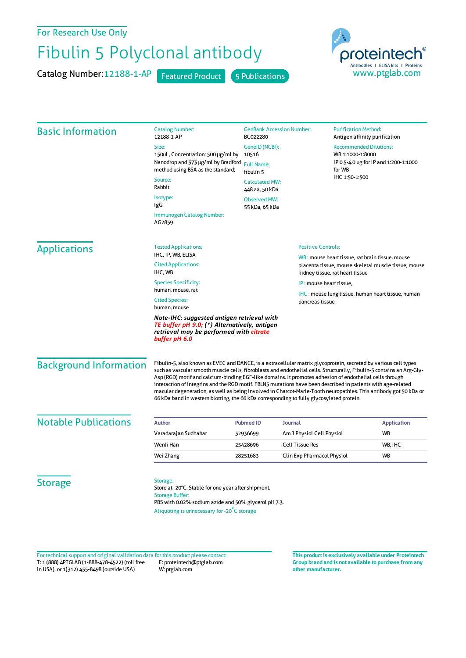## For Research Use Only

## Fibulin 5 Polyclonal antibody

Catalog Number: 12188-1-AP Featured Product 5 Publications



| <b>Basic Information</b>      | <b>Catalog Number:</b><br>12188-1-AP                                                                                                                                                                                                                                                                                                                                                                                                                                                                                                                                                                                                                                                | BC022280                                                                           | <b>GenBank Accession Number:</b>                                                        |                                                                                                                        | <b>Purification Method:</b><br>Antigen affinity purification |  |
|-------------------------------|-------------------------------------------------------------------------------------------------------------------------------------------------------------------------------------------------------------------------------------------------------------------------------------------------------------------------------------------------------------------------------------------------------------------------------------------------------------------------------------------------------------------------------------------------------------------------------------------------------------------------------------------------------------------------------------|------------------------------------------------------------------------------------|-----------------------------------------------------------------------------------------|------------------------------------------------------------------------------------------------------------------------|--------------------------------------------------------------|--|
|                               | Size:                                                                                                                                                                                                                                                                                                                                                                                                                                                                                                                                                                                                                                                                               | GeneID (NCBI):<br>10516<br><b>Full Name:</b><br>fibulin 5<br><b>Calculated MW:</b> |                                                                                         | <b>Recommended Dilutions:</b><br>WB 1:1000-1:8000<br>IP 0.5-4.0 ug for IP and 1:200-1:1000<br>for WB<br>IHC 1:50-1:500 |                                                              |  |
|                               | 150ul, Concentration: 500 µg/ml by<br>Nanodrop and 373 µg/ml by Bradford                                                                                                                                                                                                                                                                                                                                                                                                                                                                                                                                                                                                            |                                                                                    |                                                                                         |                                                                                                                        |                                                              |  |
|                               | method using BSA as the standard;                                                                                                                                                                                                                                                                                                                                                                                                                                                                                                                                                                                                                                                   |                                                                                    |                                                                                         |                                                                                                                        |                                                              |  |
|                               | Source:                                                                                                                                                                                                                                                                                                                                                                                                                                                                                                                                                                                                                                                                             |                                                                                    |                                                                                         |                                                                                                                        |                                                              |  |
|                               | Rabbit                                                                                                                                                                                                                                                                                                                                                                                                                                                                                                                                                                                                                                                                              | 448 aa, 50 kDa                                                                     |                                                                                         |                                                                                                                        |                                                              |  |
|                               | Isotype:<br>IgG                                                                                                                                                                                                                                                                                                                                                                                                                                                                                                                                                                                                                                                                     | <b>Observed MW:</b><br>55 kDa, 65 kDa                                              |                                                                                         |                                                                                                                        |                                                              |  |
|                               | Immunogen Catalog Number:<br>AG2859                                                                                                                                                                                                                                                                                                                                                                                                                                                                                                                                                                                                                                                 |                                                                                    |                                                                                         |                                                                                                                        |                                                              |  |
| <b>Applications</b>           | <b>Tested Applications:</b>                                                                                                                                                                                                                                                                                                                                                                                                                                                                                                                                                                                                                                                         |                                                                                    | <b>Positive Controls:</b>                                                               |                                                                                                                        |                                                              |  |
|                               | IHC, IP, WB, ELISA<br><b>Cited Applications:</b>                                                                                                                                                                                                                                                                                                                                                                                                                                                                                                                                                                                                                                    |                                                                                    |                                                                                         | WB: mouse heart tissue, rat brain tissue, mouse                                                                        |                                                              |  |
|                               | IHC, WB                                                                                                                                                                                                                                                                                                                                                                                                                                                                                                                                                                                                                                                                             |                                                                                    | placenta tissue, mouse skeletal muscle tissue, mouse<br>kidney tissue, rat heart tissue |                                                                                                                        |                                                              |  |
|                               | <b>Species Specificity:</b>                                                                                                                                                                                                                                                                                                                                                                                                                                                                                                                                                                                                                                                         | IP: mouse heart tissue,                                                            |                                                                                         |                                                                                                                        |                                                              |  |
|                               | human, mouse, rat                                                                                                                                                                                                                                                                                                                                                                                                                                                                                                                                                                                                                                                                   |                                                                                    | <b>IHC</b> : mouse lung tissue, human heart tissue, human                               |                                                                                                                        |                                                              |  |
|                               | <b>Cited Species:</b><br>pancreas tissue<br>human, mouse                                                                                                                                                                                                                                                                                                                                                                                                                                                                                                                                                                                                                            |                                                                                    |                                                                                         |                                                                                                                        |                                                              |  |
|                               | Note-IHC: suggested antigen retrieval with<br>TE buffer pH 9.0; (*) Alternatively, antigen<br>retrieval may be performed with <mark>citrate</mark><br>buffer pH 6.0                                                                                                                                                                                                                                                                                                                                                                                                                                                                                                                 |                                                                                    |                                                                                         |                                                                                                                        |                                                              |  |
| <b>Background Information</b> | Fibulin-5, also known as EVEC and DANCE, is a extracellular matrix glycoprotein, secreted by various cell types<br>such as vascular smooth muscle cells, fibroblasts and endothelial cells. Structurally, Fibulin-5 contains an Arg-Gly-<br>Asp (RGD) motif and calcium-binding EGF-like domains. It promotes adhesion of endothelial cells through<br>interaction of integrins and the RGD motif. FBLN5 mutations have been described in patients with age-related<br>macular degeneration, as well as being involved in Charcot-Marie-Tooth neuropathies. This antibody got 50 kDa or<br>66 kDa band in western blotting, the 66 kDa corresponding to fully glycosylated protein. |                                                                                    |                                                                                         |                                                                                                                        |                                                              |  |
| <b>Notable Publications</b>   |                                                                                                                                                                                                                                                                                                                                                                                                                                                                                                                                                                                                                                                                                     |                                                                                    |                                                                                         |                                                                                                                        |                                                              |  |
|                               | <b>Author</b>                                                                                                                                                                                                                                                                                                                                                                                                                                                                                                                                                                                                                                                                       | <b>Pubmed ID</b><br><b>Journal</b>                                                 |                                                                                         |                                                                                                                        | <b>Application</b>                                           |  |
|                               | Varadarajan Sudhahar                                                                                                                                                                                                                                                                                                                                                                                                                                                                                                                                                                                                                                                                | 32936699                                                                           | Am J Physiol Cell Physiol                                                               |                                                                                                                        | <b>WB</b>                                                    |  |
|                               | Wenli Han                                                                                                                                                                                                                                                                                                                                                                                                                                                                                                                                                                                                                                                                           | 25428696                                                                           | <b>Cell Tissue Res</b>                                                                  |                                                                                                                        | WB, IHC                                                      |  |
|                               | Wei Zhang                                                                                                                                                                                                                                                                                                                                                                                                                                                                                                                                                                                                                                                                           | 28251683                                                                           | Clin Exp Pharmacol Physiol                                                              |                                                                                                                        | <b>WB</b>                                                    |  |
| <b>Storage</b>                | Storage:<br>Store at -20°C. Stable for one year after shipment.<br><b>Storage Buffer:</b><br>PBS with 0.02% sodium azide and 50% glycerol pH 7.3.<br>Aliquoting is unnecessary for -20°C storage                                                                                                                                                                                                                                                                                                                                                                                                                                                                                    |                                                                                    |                                                                                         |                                                                                                                        |                                                              |  |

T: 1 (888) 4PTGLAB (1-888-478-4522) (toll free in USA), or 1(312) 455-8498 (outside USA) E: proteintech@ptglab.com W: ptglab.com Fortechnical support and original validation data forthis product please contact: **This productis exclusively available under Proteintech**

**Group brand and is not available to purchase from any other manufacturer.**